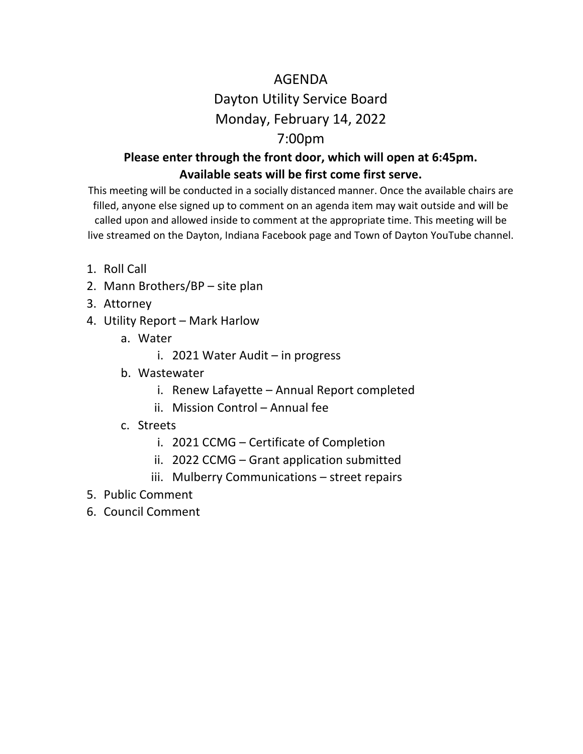# AGENDA Dayton Utility Service Board Monday, February 14, 2022

## 7:00pm

#### **Please enter through the front door, which will open at 6:45pm. Available seats will be first come first serve.**

This meeting will be conducted in a socially distanced manner. Once the available chairs are filled, anyone else signed up to comment on an agenda item may wait outside and will be called upon and allowed inside to comment at the appropriate time. This meeting will be live streamed on the Dayton, Indiana Facebook page and Town of Dayton YouTube channel.

- 1. Roll Call
- 2. Mann Brothers/BP site plan
- 3. Attorney
- 4. Utility Report Mark Harlow
	- a. Water
		- i. 2021 Water Audit in progress
	- b. Wastewater
		- i. Renew Lafayette Annual Report completed
		- ii. Mission Control Annual fee
	- c. Streets
		- i. 2021 CCMG Certificate of Completion
		- ii. 2022 CCMG Grant application submitted
		- iii. Mulberry Communications street repairs
- 5. Public Comment
- 6. Council Comment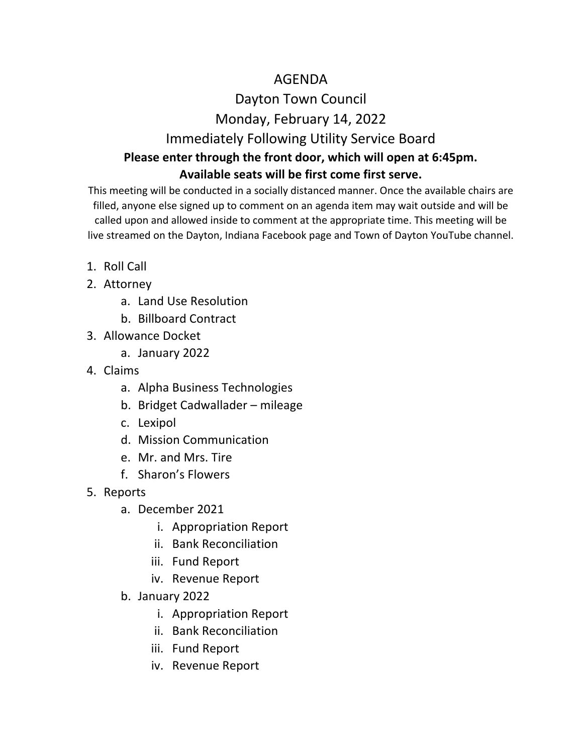#### AGENDA

### Dayton Town Council Monday, February 14, 2022

#### Immediately Following Utility Service Board **Please enter through the front door, which will open at 6:45pm.**

#### **Available seats will be first come first serve.**

This meeting will be conducted in a socially distanced manner. Once the available chairs are filled, anyone else signed up to comment on an agenda item may wait outside and will be called upon and allowed inside to comment at the appropriate time. This meeting will be live streamed on the Dayton, Indiana Facebook page and Town of Dayton YouTube channel.

- 1. Roll Call
- 2. Attorney
	- a. Land Use Resolution
	- b. Billboard Contract
- 3. Allowance Docket
	- a. January 2022
- 4. Claims
	- a. Alpha Business Technologies
	- b. Bridget Cadwallader mileage
	- c. Lexipol
	- d. Mission Communication
	- e. Mr. and Mrs. Tire
	- f. Sharon's Flowers
- 5. Reports
	- a. December 2021
		- i. Appropriation Report
		- ii. Bank Reconciliation
		- iii. Fund Report
		- iv. Revenue Report
	- b. January 2022
		- i. Appropriation Report
		- ii. Bank Reconciliation
		- iii. Fund Report
		- iv. Revenue Report